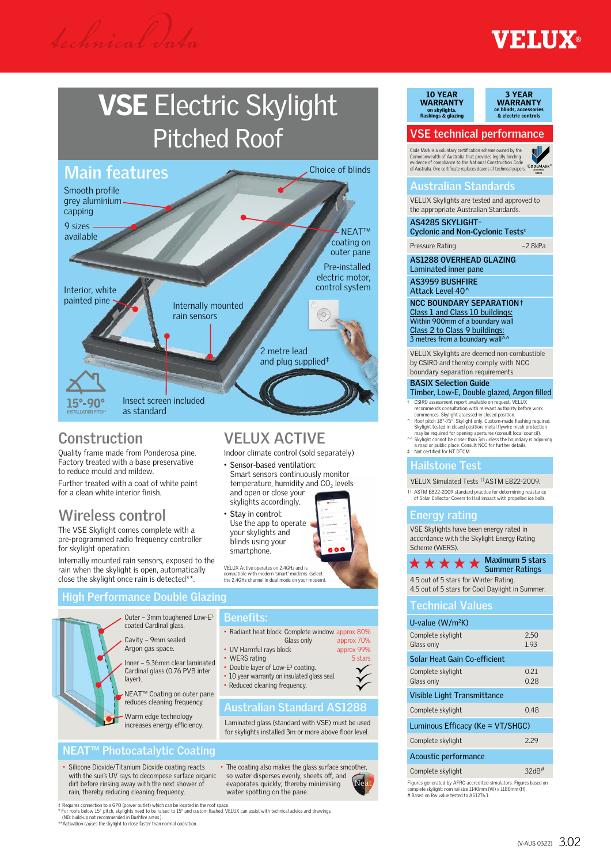## **ETHIY®**

## VSE Electric Skylight Pitched Roof



#### **Construction**

Quality frame made from Ponderosa pine. Factory treated with a base preservative to reduce mould and mildew.

Further treated with a coat of white paint for a clean white interior finish.

#### **Wireless control**

The VSE Skylight comes complete with a pre-programmed radio frequency controller for skylight operation.

Internally mounted rain sensors, exposed to the rain when the skylight is open, automatically close the skylight once rain is detected\*\*.

## **VELUX ACTIVE**

Indoor climate control (sold separately)

- Sensor-based ventilation: Smart sensors continuously monitor temperature, humidity and  $CO<sub>2</sub>$  levels and open or close your skylights accordingly.
- Stay in control: Use the app to operate your skylights and blinds using your smartphone.



VELUX Active operates on 2.4GHz and is compatible with modern 'smart' modems. (select the 2.4GHz channel in dual mode on your modem).

#### **High Performance Double Glazing**



#### **Benefits:**

- Radiant heat block: Complete window approx 80%
- Glass only approx 70%<br>
ock annrox 99% • UV Harmful rays block
- WERS rating 5 stars
- Double layer of Low-E<sup>3</sup> coating.
- 10 year warranty on insulated glass seal • Reduced cleaning frequency.
- 

#### **Australian Standard AS1288**

Laminated glass (standard with VSE) must be used for skylights installed 3m or more above floor level.

#### **NEAT™ Photocatalytic Coating**

• Silicone Dioxide/Titanium Dioxide coating reacts with the sun's UV rays to decompose surface organic dirt before rinsing away with the next shower of rain, thereby reducing cleaning frequency.

• The coating also makes the glass surface smoother, so water disperses evenly, sheets off, and evaporates quickly; thereby minimising water spotting on the pane.



#### 10 YEAR WARRANTY on skylights, flashings & glazing



#### **VSE technical performance**

Code Mark is a voluntary certification scheme owned by the<br>Commonwealth of Australia that provides legally binding<br>evidence of compliance to the National Construction Code<br>of Australia. One certificate replaces dozens of t



#### **Australian Standards**

VELUX Skylights are tested and approved to the appropriate Australian Standards.

**AS4285 SKYLIGHT– Cyclonic and Non-Cyclonic Tests**

Pressure Rating –2.8kPa

**AS1288 OVERHEAD GLAZING**

Laminated inner pane **AS3959 BUSHFIRE** Attack Level 40^

**NCC BOUNDARY SEPARATION**† Class 1 and Class 10 buildings: Within 900mm of a boundary wall Class 2 to Class 9 buildings:<br>3 metres from a boundary wall^^

VELUX Skylights are deemed non-combustible by CSIRO and thereby comply with NCC boundary separation requirements.

#### **BASIX Selection Guide**

- Timber, Low-E, Double glazed, Argon filled
- † CSIRO assessment report available on request. VELUX<br>recommends consultation with relevant authority before work<br>commences. Skylight assessed in closed position.<br>^ Roof pitch 18°-75°. Skylight only. Custom-made flashing
- Skylight tested in closed position, metal flywire mesh protection
- may be required for opening apertures (consult local council).<br>^^ Skylight cannot be closer than 3m unless the boundary is adjoining<br>a road or public place. Consult NCC for further details.<br> $*$  Not certified for NT DTCM.

#### **Hailstone Test**

#### VELUX Simulated Tests ††ASTM E822-2009.

†† ASTM E822-2009 standard practice for determining resistance of Solar Collector Covers to Hail impact with propelled ice balls.

#### **Energy rating**

VSE Skylights have been energy rated in accordance with the Skylight Energy Rating Scheme (WERS).

#### **Maximum 5 stars**  $\star \star \star \star$  Maximum 5 stairs

4.5 out of 5 stars for Winter Rating. 4.5 out of 5 stars for Cool Daylight in Summer.

**Technical Values** 

| U-value $(W/m^2K)$                                                                                                                                                                                                                                                                                                       |              |  |  |  |  |  |  |  |
|--------------------------------------------------------------------------------------------------------------------------------------------------------------------------------------------------------------------------------------------------------------------------------------------------------------------------|--------------|--|--|--|--|--|--|--|
| Complete skylight<br>Glass only                                                                                                                                                                                                                                                                                          | 2.50<br>1.93 |  |  |  |  |  |  |  |
| Solar Heat Gain Co-efficient                                                                                                                                                                                                                                                                                             |              |  |  |  |  |  |  |  |
| Complete skylight<br>Glass only                                                                                                                                                                                                                                                                                          | 0.21<br>0.28 |  |  |  |  |  |  |  |
| Visible Light Transmittance                                                                                                                                                                                                                                                                                              |              |  |  |  |  |  |  |  |
| Complete skylight                                                                                                                                                                                                                                                                                                        | 0.48         |  |  |  |  |  |  |  |
| Luminous Efficacy (Ke = VT/SHGC)                                                                                                                                                                                                                                                                                         |              |  |  |  |  |  |  |  |
| Complete skylight                                                                                                                                                                                                                                                                                                        | 229          |  |  |  |  |  |  |  |
| Acoustic performance                                                                                                                                                                                                                                                                                                     |              |  |  |  |  |  |  |  |
| $\sim$ $\frac{1}{2}$ $\frac{1}{2}$ $\frac{1}{2}$ $\frac{1}{2}$ $\frac{1}{2}$ $\frac{1}{2}$ $\frac{1}{2}$ $\frac{1}{2}$ $\frac{1}{2}$ $\frac{1}{2}$ $\frac{1}{2}$ $\frac{1}{2}$ $\frac{1}{2}$ $\frac{1}{2}$ $\frac{1}{2}$ $\frac{1}{2}$ $\frac{1}{2}$ $\frac{1}{2}$ $\frac{1}{2}$ $\frac{1}{2}$ $\frac{1}{2}$ $\frac{1}{$ | 22.15        |  |  |  |  |  |  |  |

#### Complete skylight 32dB

Figures generated by AFRC accredited simulators. Figures based on complete skylight: nominal size 1140mm (W) x 1180mm (H). # Based on Rw value tested to AS1276.1.